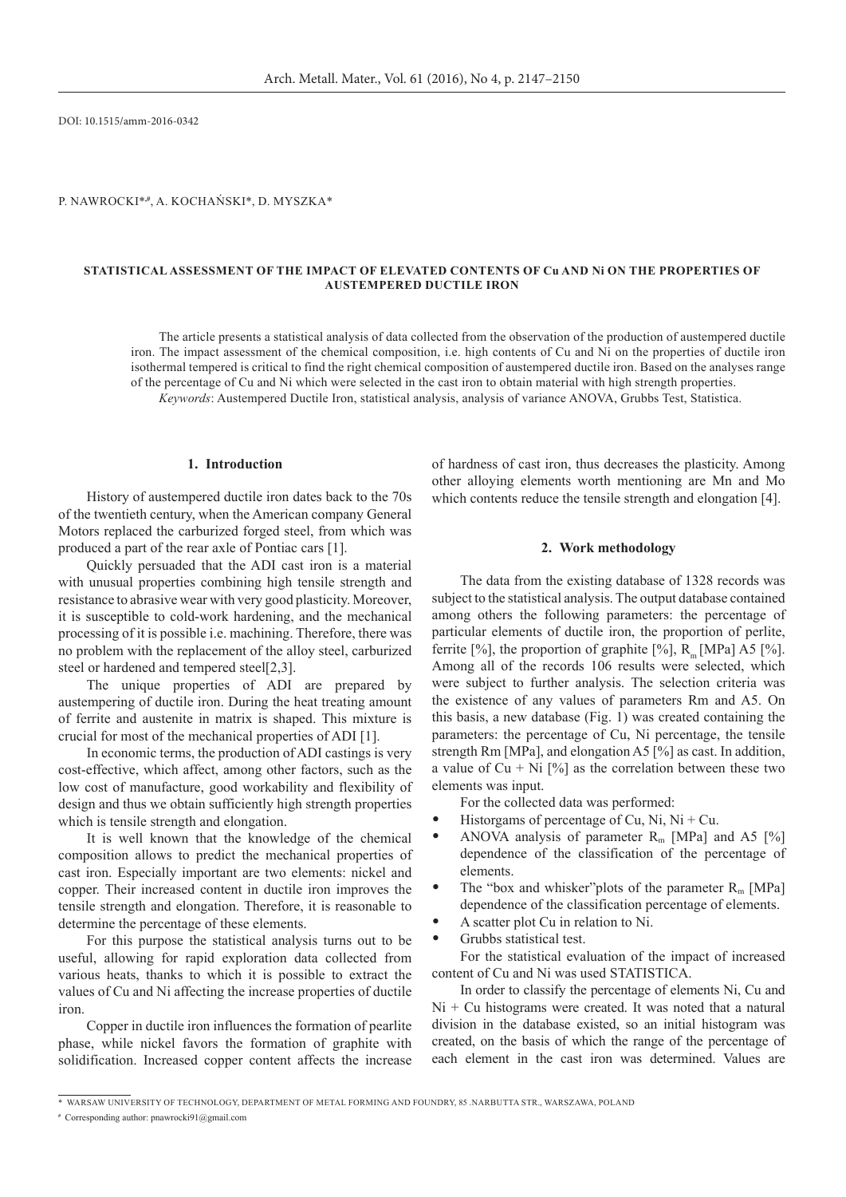DOI: 10.1515/amm-2016-0342

P. Nawrocki\***,#**, A. Kochański\*, D. Myszka\*

### **Statistical Assessment of the Impact of Elevated Contents of Cu and Ni on the Properties of Austempered Ductile Iron**

The article presents a statistical analysis of data collected from the observation of the production of austempered ductile iron. The impact assessment of the chemical composition, i.e. high contents of Cu and Ni on the properties of ductile iron isothermal tempered is critical to find the right chemical composition of austempered ductile iron. Based on the analyses range of the percentage of Cu and Ni which were selected in the cast iron to obtain material with high strength properties. *Keywords*: Austempered Ductile Iron, statistical analysis, analysis of variance ANOVA, Grubbs Test, Statistica.

# **1. Introduction**

History of austempered ductile iron dates back to the 70s of the twentieth century, when the American company General Motors replaced the carburized forged steel, from which was produced a part of the rear axle of Pontiac cars [1].

Quickly persuaded that the ADI cast iron is a material with unusual properties combining high tensile strength and resistance to abrasive wear with very good plasticity. Moreover, it is susceptible to cold-work hardening, and the mechanical processing of it is possible i.e. machining. Therefore, there was no problem with the replacement of the alloy steel, carburized steel or hardened and tempered steel[2,3].

The unique properties of ADI are prepared by austempering of ductile iron. During the heat treating amount of ferrite and austenite in matrix is shaped. This mixture is crucial for most of the mechanical properties of ADI [1].

In economic terms, the production of ADI castings is very cost-effective, which affect, among other factors, such as the low cost of manufacture, good workability and flexibility of design and thus we obtain sufficiently high strength properties which is tensile strength and elongation.

It is well known that the knowledge of the chemical composition allows to predict the mechanical properties of cast iron. Especially important are two elements: nickel and copper. Their increased content in ductile iron improves the tensile strength and elongation. Therefore, it is reasonable to determine the percentage of these elements.

For this purpose the statistical analysis turns out to be useful, allowing for rapid exploration data collected from various heats, thanks to which it is possible to extract the values of Cu and Ni affecting the increase properties of ductile iron.

Copper in ductile iron influences the formation of pearlite phase, while nickel favors the formation of graphite with solidification. Increased copper content affects the increase of hardness of cast iron, thus decreases the plasticity. Among other alloying elements worth mentioning are Mn and Mo which contents reduce the tensile strength and elongation [4].

### **2. Work methodology**

The data from the existing database of 1328 records was subject to the statistical analysis. The output database contained among others the following parameters: the percentage of particular elements of ductile iron, the proportion of perlite, ferrite [%], the proportion of graphite [%], R [MPa] A5 [%]. Among all of the records 106 results were selected, which were subject to further analysis. The selection criteria was the existence of any values of parameters Rm and A5. On this basis, a new database (Fig. 1) was created containing the parameters: the percentage of Cu, Ni percentage, the tensile strength Rm [MPa], and elongation A5 [%] as cast. In addition, a value of  $Cu + Ni$  [%] as the correlation between these two elements was input.

For the collected data was performed:

- Historgams of percentage of Cu, Ni,  $Ni + Cu$ .
- ANOVA analysis of parameter  $R_m$  [MPa] and A5 [%] dependence of the classification of the percentage of elements.
- The "box and whisker" plots of the parameter  $R_m$  [MPa] dependence of the classification percentage of elements.
- A scatter plot Cu in relation to Ni.
- Grubbs statistical test.

For the statistical evaluation of the impact of increased content of Cu and Ni was used STATISTICA.

In order to classify the percentage of elements Ni, Cu and  $Ni + Cu$  histograms were created. It was noted that a natural division in the database existed, so an initial histogram was created, on the basis of which the range of the percentage of each element in the cast iron was determined. Values are

<sup>\*</sup>Warsaw University of Technology, Department of Metal Forming and Foundry, 85 .Narbutta Str., Warszawa, Poland

**<sup>#</sup>** Corresponding author: pnawrocki91@gmail.com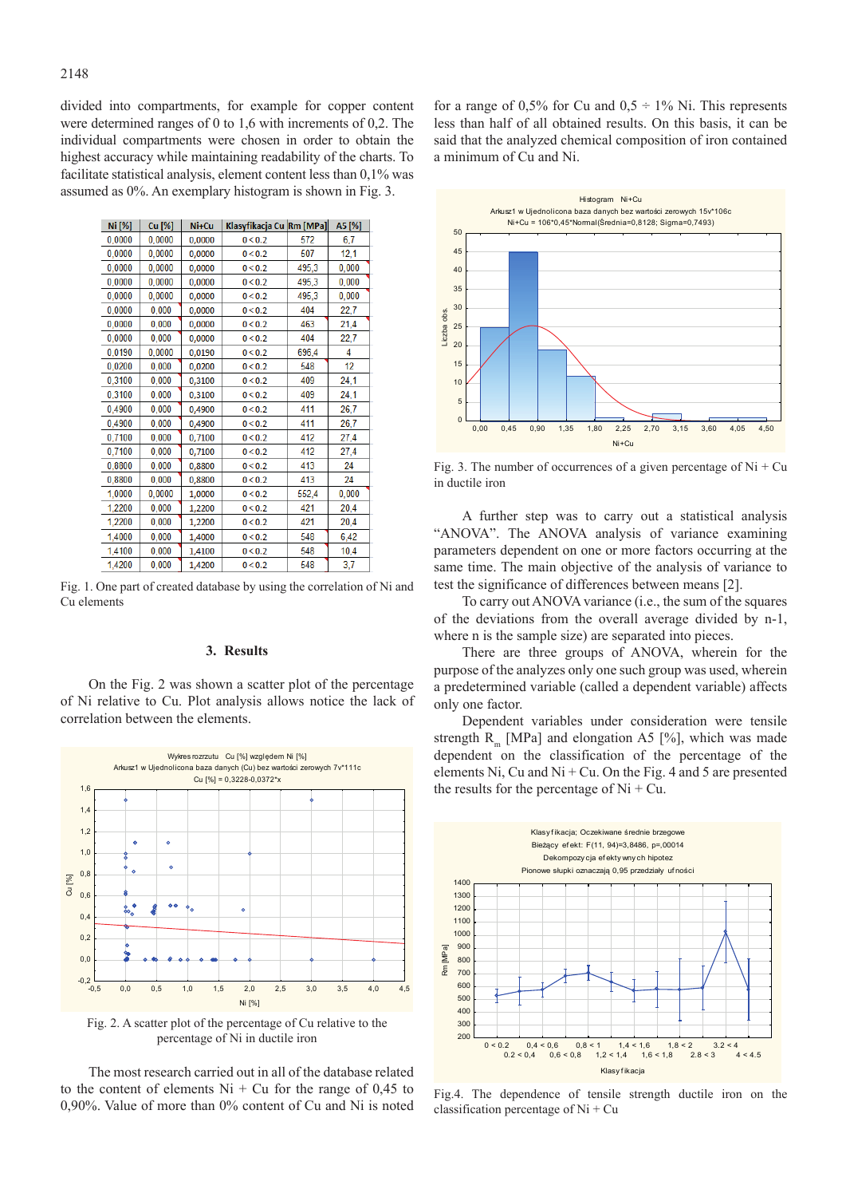divided into compartments, for example for copper content were determined ranges of 0 to 1,6 with increments of 0,2. The individual compartments were chosen in order to obtain the highest accuracy while maintaining readability of the charts. To facilitate statistical analysis, element content less than 0,1% was assumed as 0%. An exemplary histogram is shown in Fig. 3.

| Ni [%] | Cu [%] | Ni+Cu  | Klasyfikacja Cu Rm [MPa] |       | A5 [%] |
|--------|--------|--------|--------------------------|-------|--------|
| 0,0000 | 0,0000 | 0,0000 | 0 < 0.2                  | 572   | 6,7    |
| 0,0000 | 0,0000 | 0,0000 | 0 < 0.2                  | 507   | 12,1   |
| 0,0000 | 0,0000 | 0,0000 | 0 < 0.2                  | 495,3 | 0,000  |
| 0,0000 | 0,0000 | 0.0000 | 0 < 0.2                  | 495,3 | 0,000  |
| 0,0000 | 0,0000 | 0,0000 | 0 < 0.2                  | 495,3 | 0,000  |
| 0,0000 | 0,000  | 0,0000 | 0 < 0.2                  | 404   | 22,7   |
| 0,0000 | 0,000  | 0,0000 | 0 < 0.2                  | 463   | 21,4   |
| 0,0000 | 0,000  | 0,0000 | 0 < 0.2                  | 404   | 22,7   |
| 0,0190 | 0,0000 | 0,0190 | 0 < 0.2                  | 696,4 | 4      |
| 0,0200 | 0,000  | 0,0200 | 0 < 0.2                  | 548   | 12     |
| 0,3100 | 0,000  | 0,3100 | 0 < 0.2                  | 409   | 24,1   |
| 0,3100 | 0,000  | 0,3100 | 0 < 0.2                  | 409   | 24,1   |
| 0,4900 | 0,000  | 0,4900 | 0 < 0.2                  | 411   | 26,7   |
| 0,4900 | 0,000  | 0,4900 | 0 < 0.2                  | 411   | 26,7   |
| 0,7100 | 0,000  | 0,7100 | 0 < 0.2                  | 412   | 27,4   |
| 0,7100 | 0,000  | 0,7100 | 0 < 0.2                  | 412   | 27,4   |
| 0,8800 | 0,000  | 0,8800 | 0 < 0.2                  | 413   | 24     |
| 0,8800 | 0,000  | 0,8800 | 0 < 0.2                  | 413   | 24     |
| 1,0000 | 0,0000 | 1,0000 | 0 < 0.2                  | 552,4 | 0,000  |
| 1,2200 | 0,000  | 1,2200 | 0 < 0.2                  | 421   | 20,4   |
| 1,2200 | 0,000  | 1,2200 | 0 < 0.2                  | 421   | 20,4   |
| 1,4000 | 0,000  | 1,4000 | 0 < 0.2                  | 548   | 6,42   |
| 1,4100 | 0,000  | 1,4100 | 0 < 0.2                  | 548   | 10,4   |
| 1.4200 | 0,000  | 1.4200 | 0 < 0.2                  | 548   | 3.7    |

Fig. 1. One part of created database by using the correlation of Ni and Cu elements

# **3. Results**

On the Fig. 2 was shown a scatter plot of the percentage of Ni relative to Cu. Plot analysis allows notice the lack of correlation between the elements.



Fig. 2. A scatter plot of the percentage of Cu relative to the percentage of Ni in ductile iron

The most research carried out in all of the database related to the content of elements  $Ni + Cu$  for the range of 0,45 to 0,90%. Value of more than 0% content of Cu and Ni is noted for a range of 0,5% for Cu and  $0.5 \div 1\%$  Ni. This represents less than half of all obtained results. On this basis, it can be said that the analyzed chemical composition of iron contained a minimum of Cu and Ni.



Fig. 3. The number of occurrences of a given percentage of  $Ni + Cu$ in ductile iron

A further step was to carry out a statistical analysis "ANOVA". The ANOVA analysis of variance examining parameters dependent on one or more factors occurring at the same time. The main objective of the analysis of variance to test the significance of differences between means [2].

To carry out ANOVA variance (i.e., the sum of the squares of the deviations from the overall average divided by n-1, where n is the sample size) are separated into pieces.

There are three groups of ANOVA, wherein for the purpose of the analyzes only one such group was used, wherein a predetermined variable (called a dependent variable) affects only one factor.

Dependent variables under consideration were tensile strength R<sub>m</sub> [MPa] and elongation A5 [%], which was made dependent on the classification of the percentage of the elements Ni, Cu and Ni + Cu. On the Fig. 4 and 5 are presented the results for the percentage of  $Ni + Cu$ .



Fig.4. The dependence of tensile strength ductile iron on the classification percentage of Ni + Cu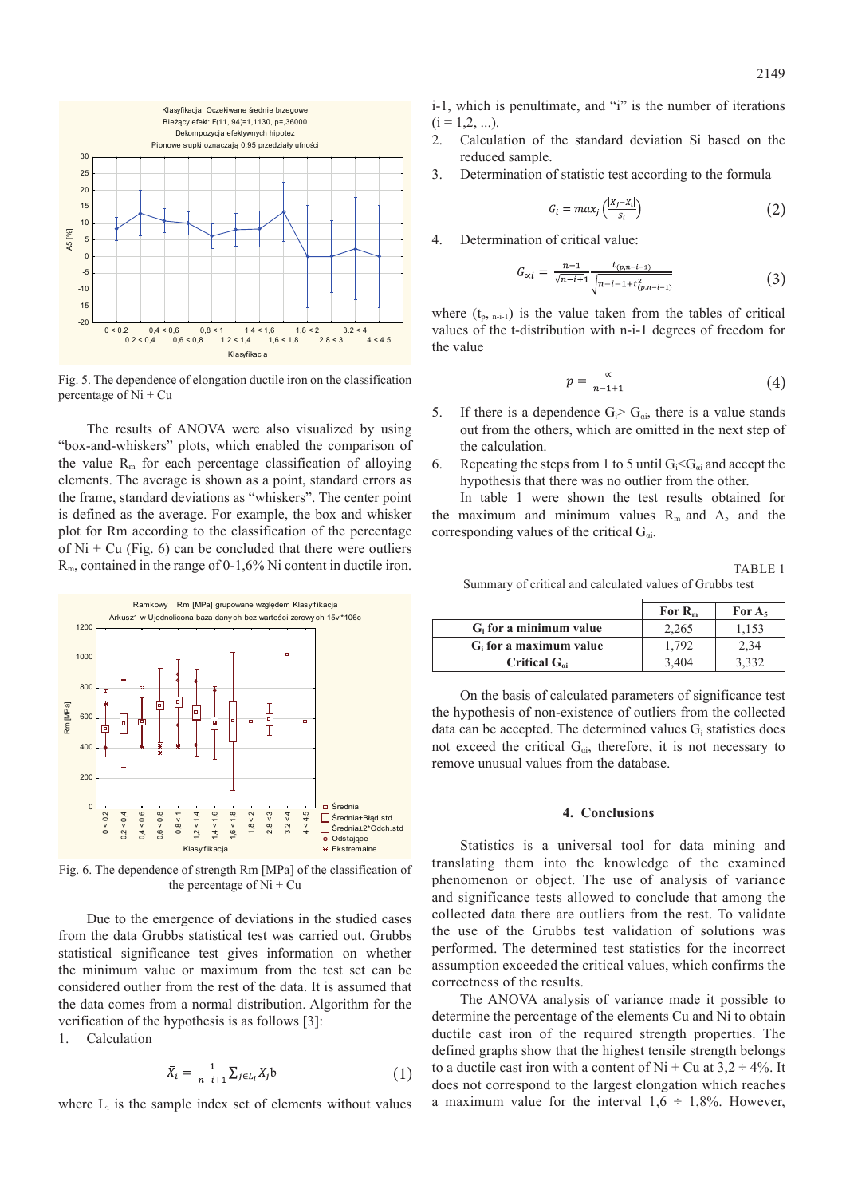

Fig. 5. The dependence of elongation ductile iron on the classification percentage of Ni + Cu

The results of ANOVA were also visualized by using "box-and-whiskers" plots, which enabled the comparison of the value  $R_m$  for each percentage classification of alloying elements. The average is shown as a point, standard errors as the frame, standard deviations as "whiskers". The center point is defined as the average. For example, the box and whisker plot for Rm according to the classification of the percentage of  $Ni + Cu$  (Fig. 6) can be concluded that there were outliers  $R<sub>m</sub>$ , contained in the range of 0-1,6% Ni content in ductile iron.



Fig. 6. The dependence of strength Rm [MPa] of the classification of the percentage of  $Ni + Cu$ 

Due to the emergence of deviations in the studied cases from the data Grubbs statistical test was carried out. Grubbs statistical significance test gives information on whether the minimum value or maximum from the test set can be considered outlier from the rest of the data. It is assumed that the data comes from a normal distribution. Algorithm for the verification of the hypothesis is as follows [3]:

1. Calculation

$$
\bar{X}_i = \frac{1}{n-i+1} \sum_{j \in L_i} X_j \mathbf{b} \tag{1}
$$

where  $L_i$  is the sample index set of elements without values

i-1, which is penultimate, and "i" is the number of iterations  $(i = 1, 2, ...)$ 

- 2. Calculation of the standard deviation Si based on the reduced sample.
- 3. Determination of statistic test according to the formula

$$
G_i = max_j \left( \frac{|x_j - \overline{x_i}|}{s_i} \right) \tag{2}
$$

4. Determination of critical value:

$$
G_{\alpha i} = \frac{n-1}{\sqrt{n-i+1}} \frac{t_{(p,n-i-1)}}{\sqrt{n-i-1+t_{(p,n-i-1)}^2}} \tag{3}
$$

where  $(t_p, t_{p-1})$  is the value taken from the tables of critical values of the t-distribution with n-i-1 degrees of freedom for the value

$$
p = \frac{\alpha}{n - 1 + 1} \tag{4}
$$

- 5. If there is a dependence  $G_i > G_{\alpha i}$ , there is a value stands out from the others, which are omitted in the next step of the calculation.
- 6. Repeating the steps from 1 to 5 until  $G_i < G_{\alpha i}$  and accept the hypothesis that there was no outlier from the other.

In table 1 were shown the test results obtained for the maximum and minimum values  $R_m$  and  $A_5$  and the corresponding values of the critical  $G_{\alpha i}$ .

TABLE<sub>1</sub> Summary of critical and calculated values of Grubbs test

|                           | For $R_m$ | For $A_5$ |
|---------------------------|-----------|-----------|
| $G_i$ for a minimum value | 2.265     | 1.153     |
| $Gi$ for a maximum value  | 1.792     | 4.34      |
| Critical $G_{\omega}$     | 3.404     |           |

On the basis of calculated parameters of significance test the hypothesis of non-existence of outliers from the collected data can be accepted. The determined values  $G_i$  statistics does not exceed the critical  $G_{ai}$ , therefore, it is not necessary to remove unusual values from the database.

#### **4. Conclusions**

Statistics is a universal tool for data mining and translating them into the knowledge of the examined phenomenon or object. The use of analysis of variance and significance tests allowed to conclude that among the collected data there are outliers from the rest. To validate the use of the Grubbs test validation of solutions was performed. The determined test statistics for the incorrect assumption exceeded the critical values, which confirms the correctness of the results.

The ANOVA analysis of variance made it possible to determine the percentage of the elements Cu and Ni to obtain ductile cast iron of the required strength properties. The defined graphs show that the highest tensile strength belongs to a ductile cast iron with a content of  $Ni + Cu$  at  $3.2 \div 4\%$ . It does not correspond to the largest elongation which reaches a maximum value for the interval  $1,6 \div 1,8\%$ . However,